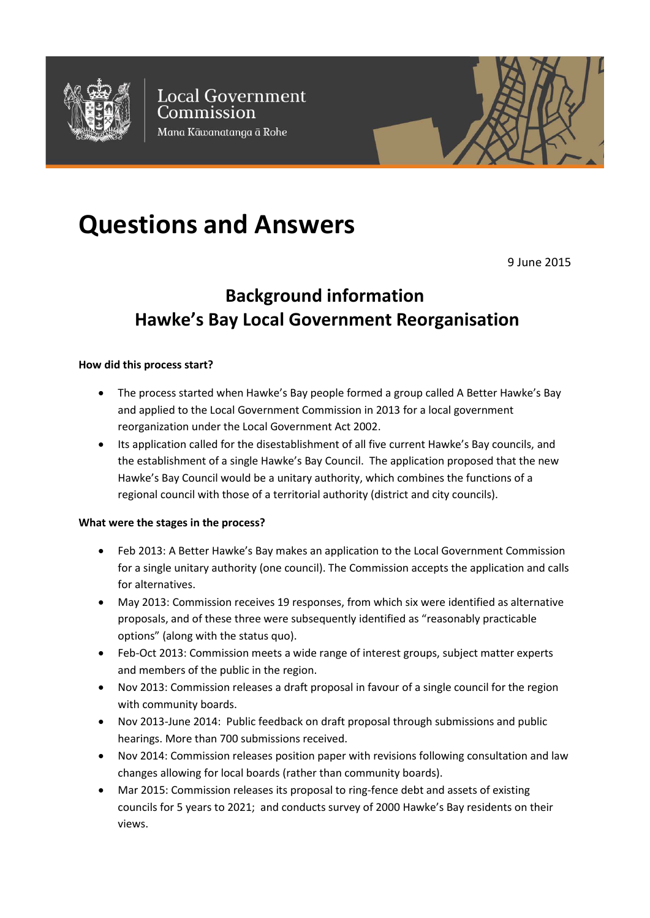

**Local Government** Commission Mana Kāwanatanga ā Rohe

# **Questions and Answers**

9 June 2015

# **Background information Hawke's Bay Local Government Reorganisation**

#### **How did this process start?**

- The process started when Hawke's Bay people formed a group called A Better Hawke's Bay and applied to the Local Government Commission in 2013 for a local government reorganization under the Local Government Act 2002.
- Its application called for the disestablishment of all five current Hawke's Bay councils, and the establishment of a single Hawke's Bay Council. The application proposed that the new Hawke's Bay Council would be a unitary authority, which combines the functions of a regional council with those of a territorial authority (district and city councils).

#### **What were the stages in the process?**

- Feb 2013: A Better Hawke's Bay makes an application to the Local Government Commission for a single unitary authority (one council). The Commission accepts the application and calls for alternatives.
- May 2013: Commission receives 19 responses, from which six were identified as alternative proposals, and of these three were subsequently identified as "reasonably practicable options" (along with the status quo).
- Feb-Oct 2013: Commission meets a wide range of interest groups, subject matter experts and members of the public in the region.
- Nov 2013: Commission releases a draft proposal in favour of a single council for the region with community boards.
- Nov 2013-June 2014: Public feedback on draft proposal through submissions and public hearings. More than 700 submissions received.
- Nov 2014: Commission releases position paper with revisions following consultation and law changes allowing for local boards (rather than community boards).
- Mar 2015: Commission releases its proposal to ring-fence debt and assets of existing councils for 5 years to 2021; and conducts survey of 2000 Hawke's Bay residents on their views.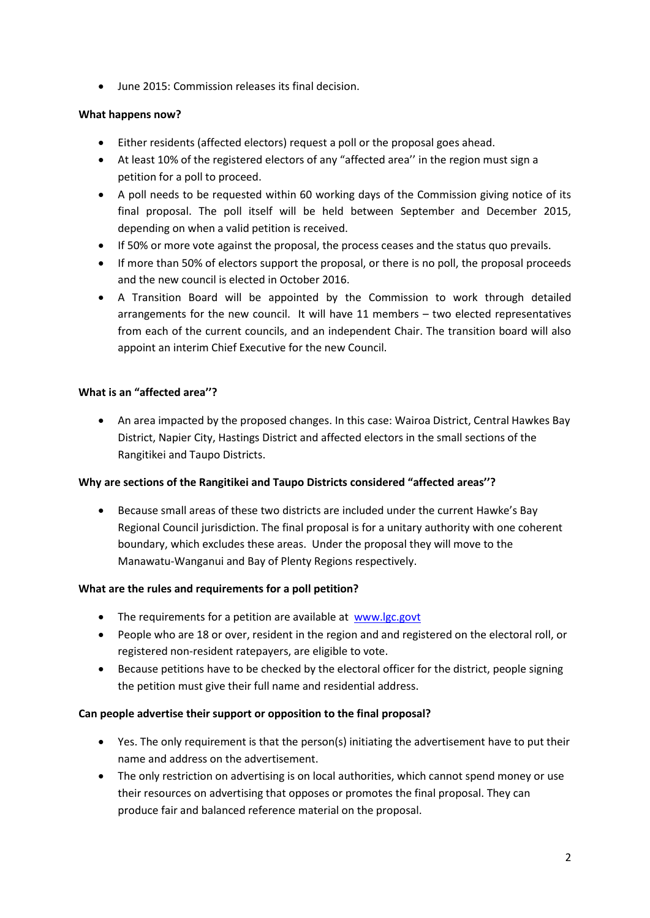• June 2015: Commission releases its final decision.

# **What happens now?**

- Either residents (affected electors) request a poll or the proposal goes ahead.
- At least 10% of the registered electors of any "affected area'' in the region must sign a petition for a poll to proceed.
- A poll needs to be requested within 60 working days of the Commission giving notice of its final proposal. The poll itself will be held between September and December 2015, depending on when a valid petition is received.
- If 50% or more vote against the proposal, the process ceases and the status quo prevails.
- If more than 50% of electors support the proposal, or there is no poll, the proposal proceeds and the new council is elected in October 2016.
- A Transition Board will be appointed by the Commission to work through detailed arrangements for the new council. It will have 11 members – two elected representatives from each of the current councils, and an independent Chair. The transition board will also appoint an interim Chief Executive for the new Council.

# **What is an "affected area''?**

• An area impacted by the proposed changes. In this case: Wairoa District, Central Hawkes Bay District, Napier City, Hastings District and affected electors in the small sections of the Rangitikei and Taupo Districts.

### **Why are sections of the Rangitikei and Taupo Districts considered "affected areas''?**

• Because small areas of these two districts are included under the current Hawke's Bay Regional Council jurisdiction. The final proposal is for a unitary authority with one coherent boundary, which excludes these areas. Under the proposal they will move to the Manawatu-Wanganui and Bay of Plenty Regions respectively.

### **What are the rules and requirements for a poll petition?**

- The requirements for a petition are available at [www.lgc.govt](http://www.lgc.govt/)
- People who are 18 or over, resident in the region and and registered on the electoral roll, or registered non-resident ratepayers, are eligible to vote.
- Because petitions have to be checked by the electoral officer for the district, people signing the petition must give their full name and residential address.

### **Can people advertise their support or opposition to the final proposal?**

- Yes. The only requirement is that the person(s) initiating the advertisement have to put their name and address on the advertisement.
- The only restriction on advertising is on local authorities, which cannot spend money or use their resources on advertising that opposes or promotes the final proposal. They can produce fair and balanced reference material on the proposal.